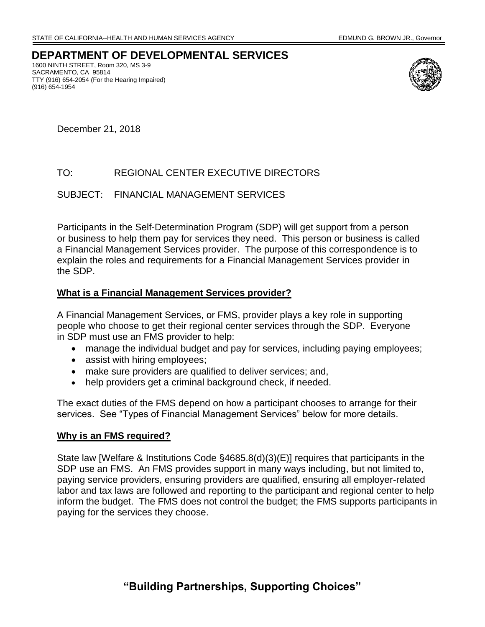## **DEPARTMENT OF DEVELOPMENTAL SERVICES**

 TTY (916) 654-2054 (For the Hearing Impaired) 1600 NINTH STREET, Room 320, MS 3-9 SACRAMENTO, CA 95814 (916) 654-1954



December 21, 2018

#### TO: REGIONAL CENTER EXECUTIVE DIRECTORS

SUBJECT: FINANCIAL MANAGEMENT SERVICES

 Participants in the Self-Determination Program (SDP) will get support from a person or business to help them pay for services they need. This person or business is called a Financial Management Services provider. The purpose of this correspondence is to explain the roles and requirements for a Financial Management Services provider in the SDP.

#### **What is a Financial Management Services provider?**

 people who choose to get their regional center services through the SDP. Everyone A Financial Management Services, or FMS, provider plays a key role in supporting in SDP must use an FMS provider to help:

- manage the individual budget and pay for services, including paying employees;
- assist with hiring employees;
- make sure providers are qualified to deliver services; and,
- help providers get a criminal background check, if needed.

The exact duties of the FMS depend on how a participant chooses to arrange for their services. See "Types of Financial Management Services" below for more details.

#### **Why is an FMS required?**

 SDP use an FMS. An FMS provides support in many ways including, but not limited to, inform the budget. The FMS does not control the budget; the FMS supports participants in State law [Welfare & Institutions Code §4685.8(d)(3)(E)] requires that participants in the paying service providers, ensuring providers are qualified, ensuring all employer-related labor and tax laws are followed and reporting to the participant and regional center to help paying for the services they choose.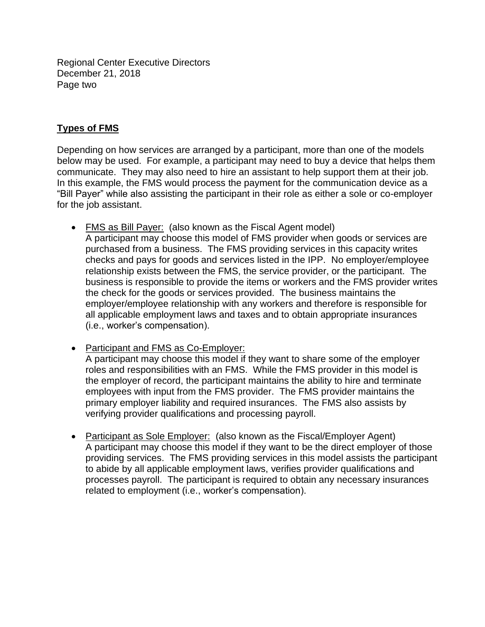Regional Center Executive Directors December 21, 2018 Page two

### **Types of FMS**

 Depending on how services are arranged by a participant, more than one of the models for the job assistant. below may be used. For example, a participant may need to buy a device that helps them communicate. They may also need to hire an assistant to help support them at their job. In this example, the FMS would process the payment for the communication device as a "Bill Payer" while also assisting the participant in their role as either a sole or co-employer

- FMS as Bill Payer: (also known as the Fiscal Agent model) checks and pays for goods and services listed in the IPP. No employer/employee relationship exists between the FMS, the service provider, or the participant. The the check for the goods or services provided. The business maintains the A participant may choose this model of FMS provider when goods or services are purchased from a business. The FMS providing services in this capacity writes business is responsible to provide the items or workers and the FMS provider writes employer/employee relationship with any workers and therefore is responsible for all applicable employment laws and taxes and to obtain appropriate insurances (i.e., worker's compensation).
- employees with input from the FMS provider. The FMS provider maintains the • Participant and FMS as Co-Employer: A participant may choose this model if they want to share some of the employer roles and responsibilities with an FMS. While the FMS provider in this model is the employer of record, the participant maintains the ability to hire and terminate primary employer liability and required insurances. The FMS also assists by verifying provider qualifications and processing payroll.
- Participant as Sole Employer: (also known as the Fiscal/Employer Agent) providing services. The FMS providing services in this model assists the participant A participant may choose this model if they want to be the direct employer of those to abide by all applicable employment laws, verifies provider qualifications and processes payroll. The participant is required to obtain any necessary insurances related to employment (i.e., worker's compensation).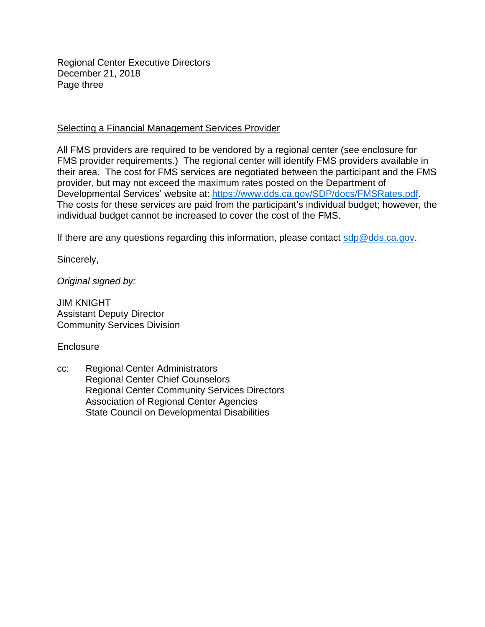Regional Center Executive Directors December 21, 2018 Page three

#### Selecting a Financial Management Services Provider

 their area. The cost for FMS services are negotiated between the participant and the FMS individual budget cannot be increased to cover the cost of the FMS. All FMS providers are required to be vendored by a regional center (see enclosure for FMS provider requirements.) The regional center will identify FMS providers available in provider, but may not exceed the maximum rates posted on the Department of Developmental Services' website at: [https://www.dds.ca.gov/SDP/docs/FMSRates.pdf.](https://www.dds.ca.gov/wp-content/uploads/2019/02/SDP_FMSRates_20190201.pdf) The costs for these services are paid from the participant's individual budget; however, the

If there are any questions regarding this information, please contact  $\frac{\text{sdp}\textcircled{a}\text{dds} \cdot \text{ca.gov}}{\text{adp}\textcircled{a}}$ .

Sincerely,

*Original signed by:* 

JIM KNIGHT Assistant Deputy Director Community Services Division

**Enclosure** 

cc: Regional Center Administrators Regional Center Chief Counselors Regional Center Community Services Directors Association of Regional Center Agencies State Council on Developmental Disabilities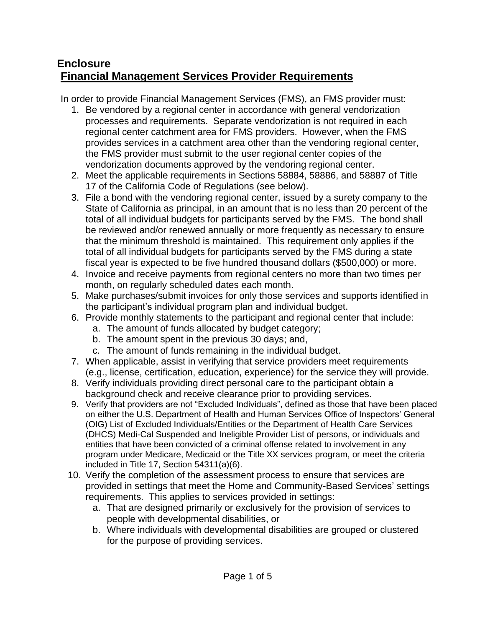## **Enclosure Financial Management Services Provider Requirements**

In order to provide Financial Management Services (FMS), an FMS provider must:

- processes and requirements. Separate vendorization is not required in each 1. Be vendored by a regional center in accordance with general vendorization regional center catchment area for FMS providers. However, when the FMS provides services in a catchment area other than the vendoring regional center, the FMS provider must submit to the user regional center copies of the vendorization documents approved by the vendoring regional center.
- 2. Meet the applicable requirements in Sections 58884, 58886, and 58887 of Title 17 of the California Code of Regulations (see below).
- 3. File a bond with the vendoring regional center, issued by a surety company to the State of California as principal, in an amount that is no less than 20 percent of the total of all individual budgets for participants served by the FMS. The bond shall be reviewed and/or renewed annually or more frequently as necessary to ensure that the minimum threshold is maintained. This requirement only applies if the total of all individual budgets for participants served by the FMS during a state fiscal year is expected to be five hundred thousand dollars (\$500,000) or more.
- month, on regularly scheduled dates each month. 4. Invoice and receive payments from regional centers no more than two times per
- 5. Make purchases/submit invoices for only those services and supports identified in the participant's individual program plan and individual budget.
- 6. Provide monthly statements to the participant and regional center that include:
	- a. The amount of funds allocated by budget category;
	- b. The amount spent in the previous 30 days; and,
	- c. The amount of funds remaining in the individual budget.
- 7. When applicable, assist in verifying that service providers meet requirements (e.g., license, certification, education, experience) for the service they will provide.
- 8. Verify individuals providing direct personal care to the participant obtain a background check and receive clearance prior to providing services.
- 9. Verify that providers are not "Excluded Individuals", defined as those that have been placed on either the U.S. Department of Health and Human Services Office of Inspectors' General (OIG) List of Excluded Individuals/Entities or the Department of Health Care Services (DHCS) Medi-Cal Suspended and Ineligible Provider List of persons, or individuals and entities that have been convicted of a criminal offense related to involvement in any program under Medicare, Medicaid or the Title XX services program, or meet the criteria included in Title 17, Section 54311(a)(6).
- provided in settings that meet the Home and Community-Based Services' settings 10. Verify the completion of the assessment process to ensure that services are requirements. This applies to services provided in settings:
	- a. That are designed primarily or exclusively for the provision of services to people with developmental disabilities, or
	- b. Where individuals with developmental disabilities are grouped or clustered for the purpose of providing services.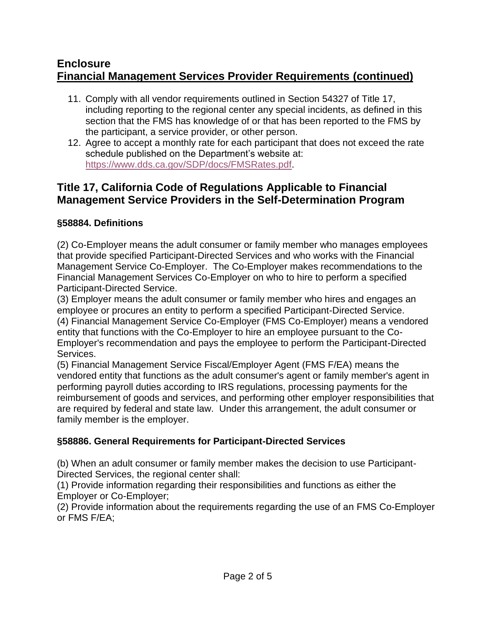## **Enclosure Financial Management Services Provider Requirements (continued)**

- the participant, a service provider, or other person. 11. Comply with all vendor requirements outlined in Section 54327 of Title 17, including reporting to the regional center any special incidents, as defined in this section that the FMS has knowledge of or that has been reported to the FMS by
- 12. Agree to accept a monthly rate for each participant that does not exceed the rate schedule published on the Department's website at: [https://www.dds.ca.gov/SDP/docs/FMSRates.pdf.](https://www.dds.ca.gov/wp-content/uploads/2019/02/SDP_FMSRates_20190201.pdf)

## **Title 17, California Code of Regulations Applicable to Financial Management Service Providers in the Self-Determination Program**

### **§58884. Definitions**

(2) Co-Employer means the adult consumer or family member who manages employees that provide specified Participant-Directed Services and who works with the Financial Management Service Co-Employer. The Co-Employer makes recommendations to the Financial Management Services Co-Employer on who to hire to perform a specified Participant-Directed Service.

 entity that functions with the Co-Employer to hire an employee pursuant to the Co-(3) Employer means the adult consumer or family member who hires and engages an employee or procures an entity to perform a specified Participant-Directed Service. (4) Financial Management Service Co-Employer (FMS Co-Employer) means a vendored Employer's recommendation and pays the employee to perform the Participant-Directed Services.

(5) Financial Management Service Fiscal/Employer Agent (FMS F/EA) means the vendored entity that functions as the adult consumer's agent or family member's agent in performing payroll duties according to IRS regulations, processing payments for the reimbursement of goods and services, and performing other employer responsibilities that are required by federal and state law. Under this arrangement, the adult consumer or family member is the employer.

## **§58886. General Requirements for Participant-Directed Services**

 (b) When an adult consumer or family member makes the decision to use Participant-Directed Services, the regional center shall:

(1) Provide information regarding their responsibilities and functions as either the Employer or Co-Employer;

(2) Provide information about the requirements regarding the use of an FMS Co-Employer or FMS F/EA;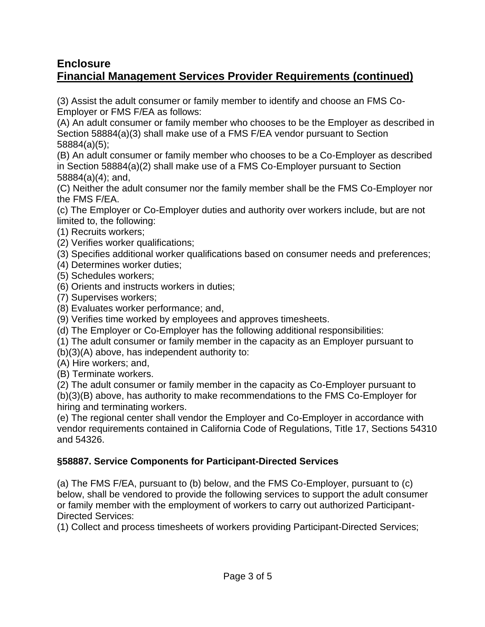## **Enclosure Financial Management Services Provider Requirements (continued)**

(3) Assist the adult consumer or family member to identify and choose an FMS Co-Employer or FMS F/EA as follows:

(A) An adult consumer or family member who chooses to be the Employer as described in Section 58884(a)(3) shall make use of a FMS F/EA vendor pursuant to Section 58884(a)(5);

 in Section 58884(a)(2) shall make use of a FMS Co-Employer pursuant to Section (B) An adult consumer or family member who chooses to be a Co-Employer as described 58884(a)(4); and,

(C) Neither the adult consumer nor the family member shall be the FMS Co-Employer nor the FMS F/EA.

(c) The Employer or Co-Employer duties and authority over workers include, but are not limited to, the following:

- (1) Recruits workers;
- (2) Verifies worker qualifications;
- (3) Specifies additional worker qualifications based on consumer needs and preferences;
- (4) Determines worker duties;
- (5) Schedules workers;
- (6) Orients and instructs workers in duties;
- (7) Supervises workers;
- (8) Evaluates worker performance; and,
- (9) Verifies time worked by employees and approves timesheets.
- (d) The Employer or Co-Employer has the following additional responsibilities:
- (1) The adult consumer or family member in the capacity as an Employer pursuant to
- (b)(3)(A) above, has independent authority to:
- (A) Hire workers; and,
- (B) Terminate workers.

(2) The adult consumer or family member in the capacity as Co-Employer pursuant to (b)(3)(B) above, has authority to make recommendations to the FMS Co-Employer for hiring and terminating workers.

 vendor requirements contained in California Code of Regulations, Title 17, Sections 54310 (e) The regional center shall vendor the Employer and Co-Employer in accordance with and 54326.

## **§58887. Service Components for Participant-Directed Services**

 or family member with the employment of workers to carry out authorized Participant-(a) The FMS F/EA, pursuant to (b) below, and the FMS Co-Employer, pursuant to (c) below, shall be vendored to provide the following services to support the adult consumer Directed Services:

(1) Collect and process timesheets of workers providing Participant-Directed Services;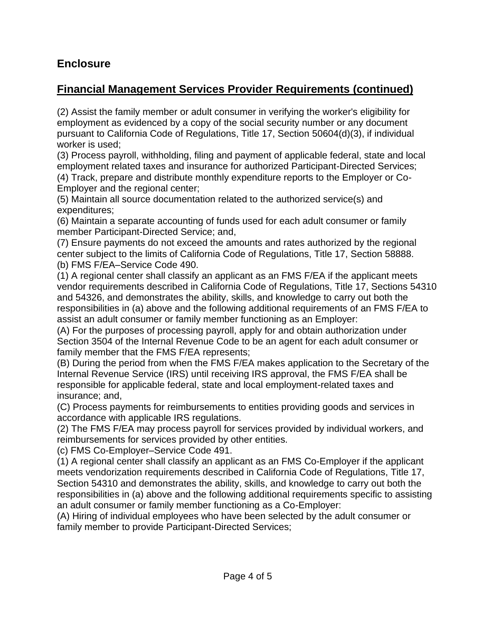## **Enclosure**

## **Financial Management Services Provider Requirements (continued)**

 pursuant to California Code of Regulations, Title 17, Section 50604(d)(3), if individual (2) Assist the family member or adult consumer in verifying the worker's eligibility for employment as evidenced by a copy of the social security number or any document worker is used;

 (4) Track, prepare and distribute monthly expenditure reports to the Employer or Co-(3) Process payroll, withholding, filing and payment of applicable federal, state and local employment related taxes and insurance for authorized Participant-Directed Services; Employer and the regional center;

(5) Maintain all source documentation related to the authorized service(s) and expenditures;

 (6) Maintain a separate accounting of funds used for each adult consumer or family member Participant-Directed Service; and,

(7) Ensure payments do not exceed the amounts and rates authorized by the regional center subject to the limits of California Code of Regulations, Title 17, Section 58888. (b) FMS F/EA–Service Code 490.

 vendor requirements described in California Code of Regulations, Title 17, Sections 54310 (1) A regional center shall classify an applicant as an FMS F/EA if the applicant meets and 54326, and demonstrates the ability, skills, and knowledge to carry out both the responsibilities in (a) above and the following additional requirements of an FMS F/EA to assist an adult consumer or family member functioning as an Employer:

(A) For the purposes of processing payroll, apply for and obtain authorization under Section 3504 of the Internal Revenue Code to be an agent for each adult consumer or family member that the FMS F/EA represents;

(B) During the period from when the FMS F/EA makes application to the Secretary of the Internal Revenue Service (IRS) until receiving IRS approval, the FMS F/EA shall be responsible for applicable federal, state and local employment-related taxes and insurance; and,

(C) Process payments for reimbursements to entities providing goods and services in accordance with applicable IRS regulations.

(2) The FMS F/EA may process payroll for services provided by individual workers, and reimbursements for services provided by other entities.

(c) FMS Co-Employer–Service Code 491.

 Section 54310 and demonstrates the ability, skills, and knowledge to carry out both the (1) A regional center shall classify an applicant as an FMS Co-Employer if the applicant meets vendorization requirements described in California Code of Regulations, Title 17, responsibilities in (a) above and the following additional requirements specific to assisting an adult consumer or family member functioning as a Co-Employer:

(A) Hiring of individual employees who have been selected by the adult consumer or family member to provide Participant-Directed Services;